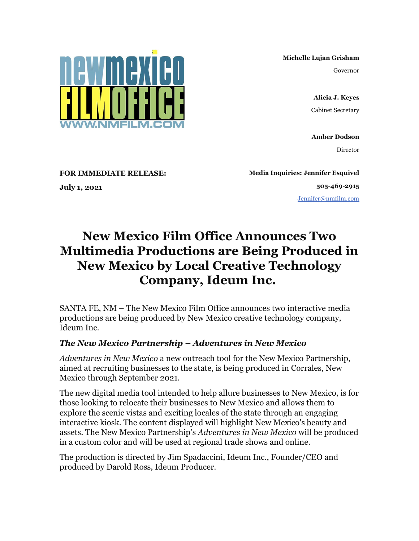**Michelle Lujan Grisham**

Governor

**Alicia J. Keyes** Cabinet Secretary

**Amber Dodson** Director

**FOR IMMEDIATE RELEASE:**

**July 1, 2021**

**Media Inquiries: Jennifer Esquivel 505-469-2915** [Jennifer@nmfilm.com](mailto:jennifer@nmfilm.com)

## **New Mexico Film Office Announces Two Multimedia Productions are Being Produced in New Mexico by Local Creative Technology Company, Ideum Inc.**

SANTA FE, NM – The New Mexico Film Office announces two interactive media productions are being produced by New Mexico creative technology company, Ideum Inc.

## *The New Mexico Partnership – Adventures in New Mexico*

*Adventures in New Mexico* a new outreach tool for the New Mexico Partnership, aimed at recruiting businesses to the state, is being produced in Corrales, New Mexico through September 2021.

The new digital media tool intended to help allure businesses to New Mexico, is for those looking to relocate their businesses to New Mexico and allows them to explore the scenic vistas and exciting locales of the state through an engaging interactive kiosk. The content displayed will highlight New Mexico's beauty and assets. The New Mexico Partnership's *Adventures in New Mexico* will be produced in a custom color and will be used at regional trade shows and online.

The production is directed by Jim Spadaccini, Ideum Inc., Founder/CEO and produced by Darold Ross, Ideum Producer.